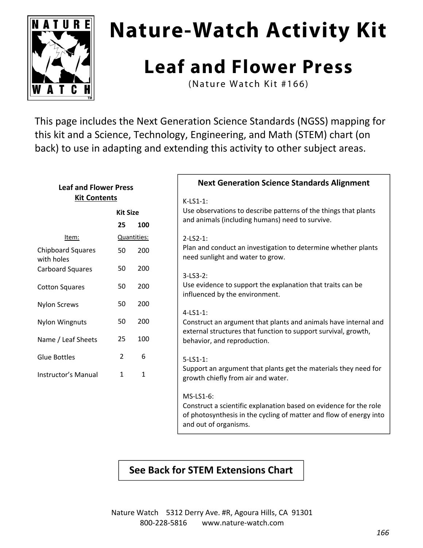

# **Nature-Watch Activity Kit**

## **Leaf and Flower Press**

(Nature Watch Kit #166)

This page includes the Next Generation Science Standards (NGSS) mapping for this kit and a Science, Technology, Engineering, and Math (STEM) chart (on back) to use in adapting and extending this activity to other subject areas.

#### **Leaf and Flower Press Kit Contents**

|                                        | Kit Size       |     |  |
|----------------------------------------|----------------|-----|--|
|                                        | 25.            | 100 |  |
| Item:                                  | Quantities:    |     |  |
| <b>Chipboard Squares</b><br>with holes | 50             | 200 |  |
| Carboard Squares                       | 50             | 200 |  |
| Cotton Squares                         | 50             | 200 |  |
| <b>Nylon Screws</b>                    | 50             | 200 |  |
| Nylon Wingnuts                         | 50             | 200 |  |
| Name / Leaf Sheets                     | 25             | 100 |  |
| <b>Glue Bottles</b>                    | $\mathfrak{p}$ | 6   |  |
| Instructor's Manual                    | 1              | 1   |  |

#### **Next Generation Science Standards Alignment**

#### K‐LS1‐1:

Use observations to describe patterns of the things that plants and animals (including humans) need to survive.

#### 2‐LS2‐1:

Plan and conduct an investigation to determine whether plants need sunlight and water to grow.

#### 3‐LS3‐2:

Use evidence to support the explanation that traits can be influenced by the environment.

#### 4‐LS1‐1:

Construct an argument that plants and animals have internal and external structures that function to support survival, growth, behavior, and reproduction.

#### 5‐LS1‐1:

Support an argument that plants get the materials they need for growth chiefly from air and water.

#### MS‐LS1‐6:

Construct a scientific explanation based on evidence for the role of photosynthesis in the cycling of matter and flow of energy into and out of organisms.

### **See Back for STEM Extensions Chart**